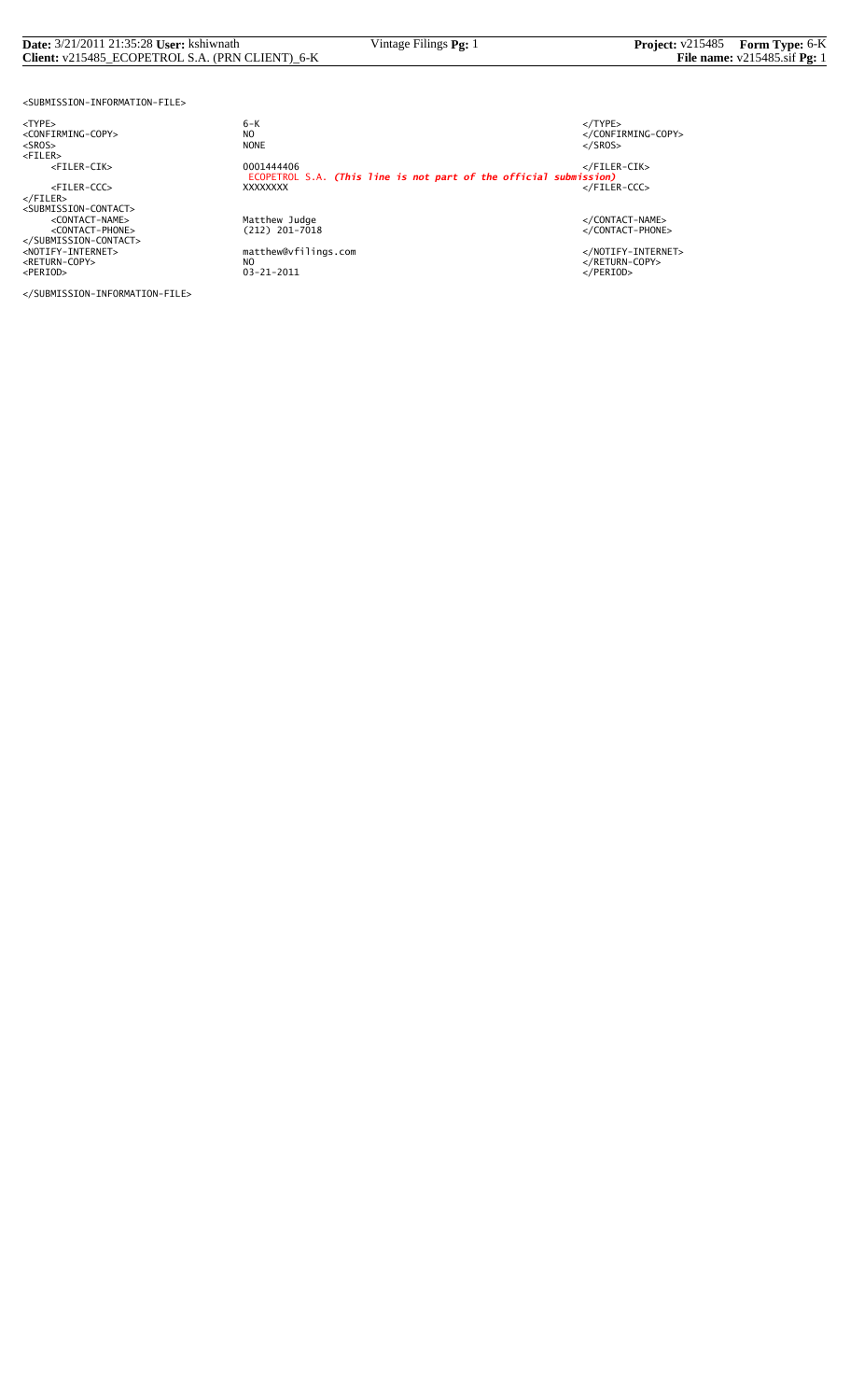#### **Date:** 3/21/2011 21:35:28 **User:** kshiwnath Vintage Filings **Pg:** 1 **Project:** v215485 **Form Type:** 6-K **Client:** v215485\_ECOPETROL S.A. (PRN CLIENT)\_6-K **File name:** v215485.sif **Pg:** 1

<SUBMISSION-INFORMATION-FILE>

<TYPE> 6-K </TYPE>

</SUBMISSION-INFORMATION-FILE>

 $6 - K$ NO<br>
NO<br>
NONE<br>
NONE<br>
NONE<br>
S/SROS> <SROS> NONE </SROS> <FILER> <FILER-CIK> 0001444406 </FILER-CIK> ECOPETROL S.A. *(This line is not part of the official submission)* <FILER-CCC> XXXXXXXX </FILER-CCC> </FILER><br><SUBMISSION-CONTACT><br><</CONTACT-PHONE><br><</CONTACT-PHONE><br><</CONTACT-PHONE><br></SUBMISSION-CONTACT><br></SUBMISSION-CONTACT><br></RETURN-COPY>>>>>>>>>>>>>>>>+AOTIFY-INTERNET><br></RETURN-COPY>>>+AOTIFY-INTERNET><br></RETURN-COPY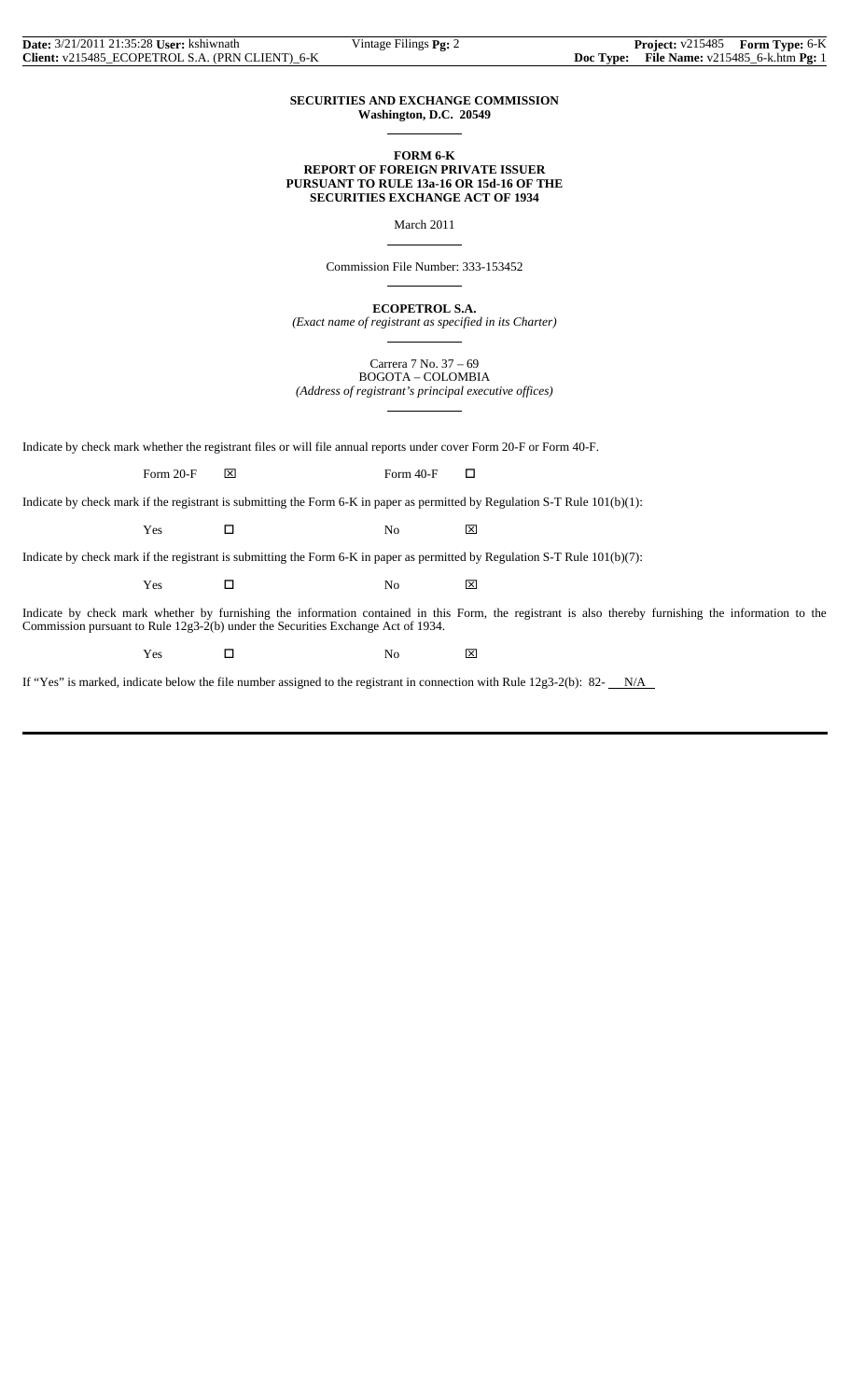#### **SECURITIES AND EXCHANGE COMMISSION Washington, D.C. 20549**

 $\overline{a}$ 

 $\overline{a}$ 

 $\overline{a}$ 

 $\overline{a}$ 

#### **FORM 6-K REPORT OF FOREIGN PRIVATE ISSUER PURSUANT TO RULE 13a-16 OR 15d-16 OF THE SECURITIES EXCHANGE ACT OF 1934**

March 2011

Commission File Number: 333-153452

**ECOPETROL S.A.**

*(Exact name of registrant as specified in its Charter)*  $\overline{a}$ 

> Carrera 7 No. 37 – 69 BOGOTA – COLOMBIA

*(Address of registrant's principal executive offices)*

Indicate by check mark whether the registrant files or will file annual reports under cover Form 20-F or Form 40-F.

Form 20-F  $\boxtimes$  Form 40-F  $\Box$ 

Indicate by check mark if the registrant is submitting the Form 6-K in paper as permitted by Regulation S-T Rule 101(b)(1):

 $Yes$   $\Box$  No  $\boxtimes$ 

Indicate by check mark if the registrant is submitting the Form 6-K in paper as permitted by Regulation S-T Rule 101(b)(7):

 $Yes$   $\Box$  No  $\boxtimes$ 

Indicate by check mark whether by furnishing the information contained in this Form, the registrant is also thereby furnishing the information to the Commission pursuant to Rule 12g3-2(b) under the Securities Exchange Act of 1934.

Yes □ No ⊠

If "Yes" is marked, indicate below the file number assigned to the registrant in connection with Rule  $12g3-2(b)$ : 82- $N/A$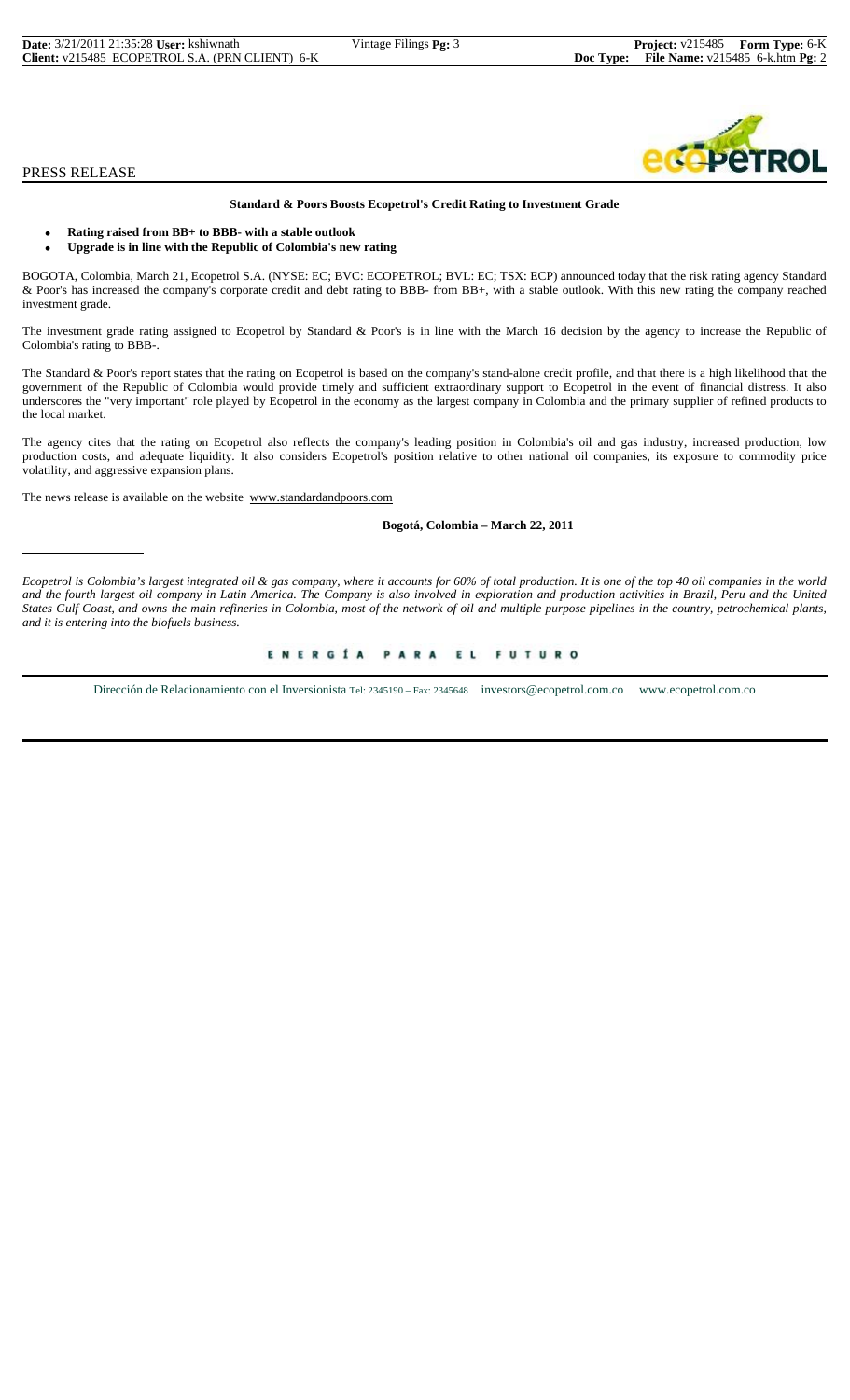| <b>Date:</b> 3/21/2011 21:35:28 User: kshiwnath | Vintage Filings <b>F</b> |
|-------------------------------------------------|--------------------------|
| Client: v215485 ECOPETROL S.A. (PRN CLIENT) 6-K |                          |

#### PRESS RELEASE

# bA

#### **Standard & Poors Boosts Ecopetrol's Credit Rating to Investment Grade**

- **Rating raised from BB+ to BBB- with a stable outlook**
- **Upgrade is in line with the Republic of Colombia's new rating**

BOGOTA, Colombia, March 21, Ecopetrol S.A. (NYSE: EC; BVC: ECOPETROL; BVL: EC; TSX: ECP) announced today that the risk rating agency Standard & Poor's has increased the company's corporate credit and debt rating to BBB- from BB+, with a stable outlook. With this new rating the company reached investment grade.

The investment grade rating assigned to Ecopetrol by Standard & Poor's is in line with the March 16 decision by the agency to increase the Republic of Colombia's rating to BBB-.

The Standard & Poor's report states that the rating on Ecopetrol is based on the company's stand-alone credit profile, and that there is a high likelihood that the government of the Republic of Colombia would provide timely and sufficient extraordinary support to Ecopetrol in the event of financial distress. It also underscores the "very important" role played by Ecopetrol in the economy as the largest company in Colombia and the primary supplier of refined products to the local market.

The agency cites that the rating on Ecopetrol also reflects the company's leading position in Colombia's oil and gas industry, increased production, low production costs, and adequate liquidity. It also considers Ecopetrol's position relative to other national oil companies, its exposure to commodity price volatility, and aggressive expansion plans.

The news release is available on the website www.standardandpoors.com

#### **Bogotá, Colombia – March 22, 2011**

*Ecopetrol is Colombia's largest integrated oil & gas company, where it accounts for 60% of total production. It is one of the top 40 oil companies in the world and the fourth largest oil company in Latin America. The Company is also involved in exploration and production activities in Brazil, Peru and the United States Gulf Coast, and owns the main refineries in Colombia, most of the network of oil and multiple purpose pipelines in the country, petrochemical plants, and it is entering into the biofuels business.*

#### ENERGÍA PARA EL FUTURO

Dirección de Relacionamiento con el Inversionista Tel: 2345190 – Fax: 2345648 investors@ecopetrol.com.co www.ecopetrol.com.co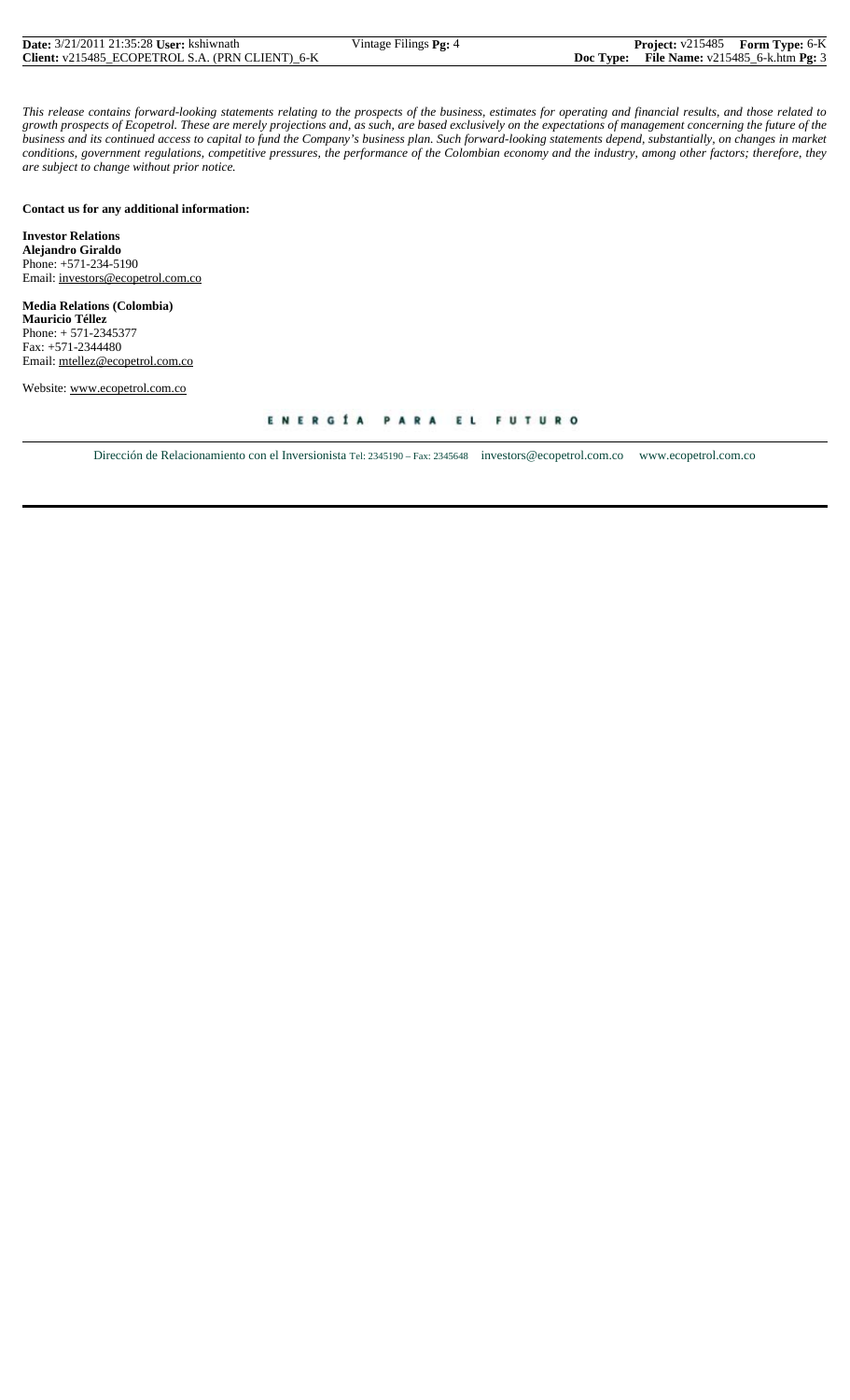| <b>Date:</b> 3/21/2011 21:35:28 <b>User:</b> kshiwnath | Vintage Filings Pg: 4 | <b>Project:</b> v215485 Form Type: 6-K        |  |
|--------------------------------------------------------|-----------------------|-----------------------------------------------|--|
| Client: v215485 ECOPETROL S.A. (PRN CLIENT) 6-K        |                       | Doc Type: File Name: $v215485_6$ -k.htm Pg: 3 |  |

*This release contains forward-looking statements relating to the prospects of the business, estimates for operating and financial results, and those related to growth prospects of Ecopetrol. These are merely projections and, as such, are based exclusively on the expectations of management concerning the future of the business and its continued access to capital to fund the Company's business plan. Such forward-looking statements depend, substantially, on changes in market conditions, government regulations, competitive pressures, the performance of the Colombian economy and the industry, among other factors; therefore, they are subject to change without prior notice.*

#### **Contact us for any additional information:**

**Investor Relations Alejandro Giraldo** Phone: +571-234-5190 Email: investors@ecopetrol.com.co

**Media Relations (Colombia) Mauricio Téllez** Phone: + 571-2345377 Fax: +571-2344480 Email: mtellez@ecopetrol.com.co

Website: www.ecopetrol.com.co

Dirección de Relacionamiento con el Inversionista Tel: 2345190 – Fax: 2345648 investors@ecopetrol.com.co www.ecopetrol.com.co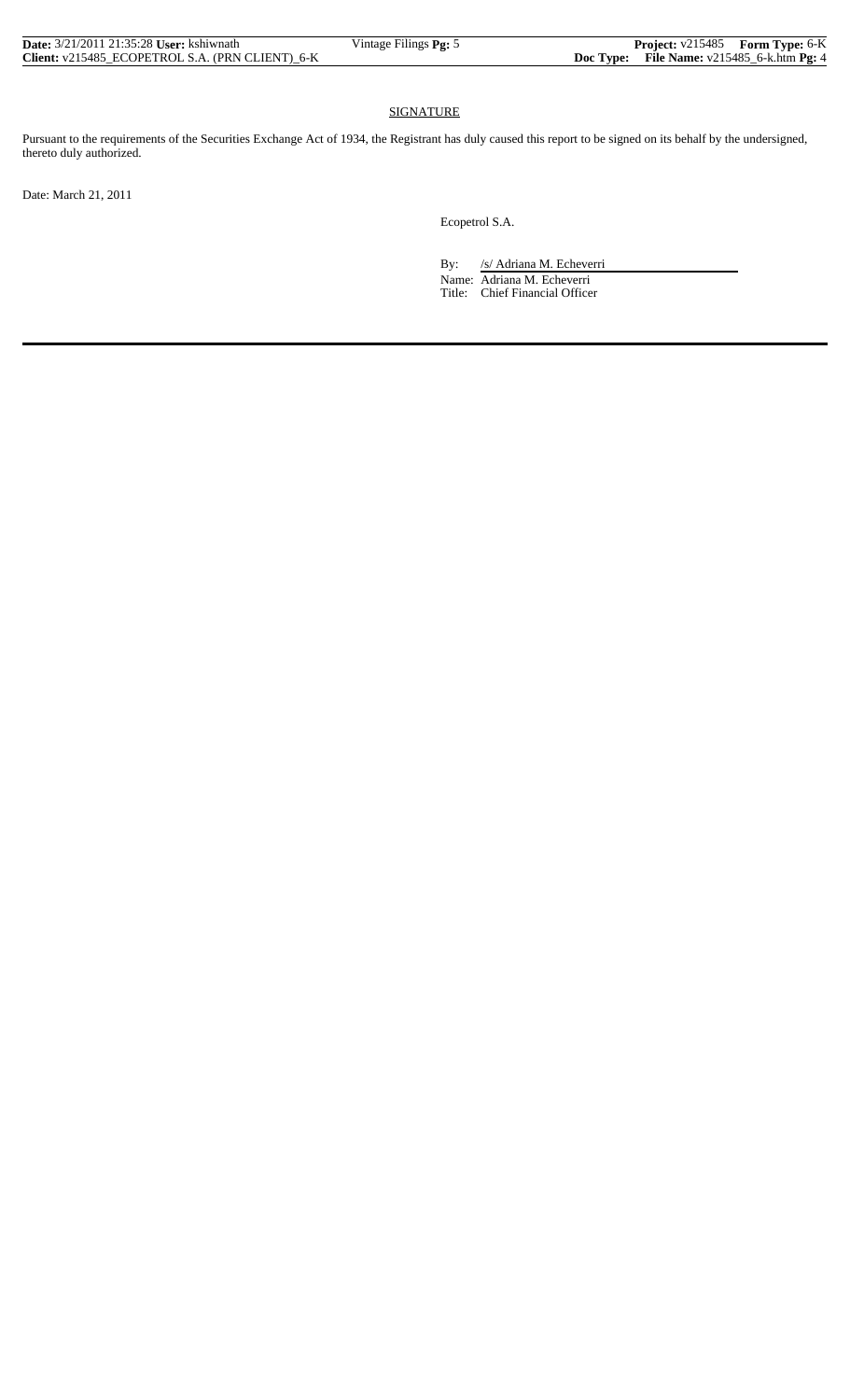| <b>Date:</b> 3/21/2011 21:35:28 <b>User:</b> kshiwnath | Vintage Filings Pg: 5 | <b>Project:</b> v215485 Form Type: 6-K        |  |
|--------------------------------------------------------|-----------------------|-----------------------------------------------|--|
| Client: v215485 ECOPETROL S.A. (PRN CLIENT) 6-K        |                       | Doc Type: File Name: $v215485_6$ -k.htm Pg: 4 |  |

### SIGNATURE

Pursuant to the requirements of the Securities Exchange Act of 1934, the Registrant has duly caused this report to be signed on its behalf by the undersigned, thereto duly authorized.

Date: March 21, 2011

Ecopetrol S.A.

By: /s/ Adriana M. Echeverri

 Name: Adriana M. Echeverri Title: Chief Financial Officer